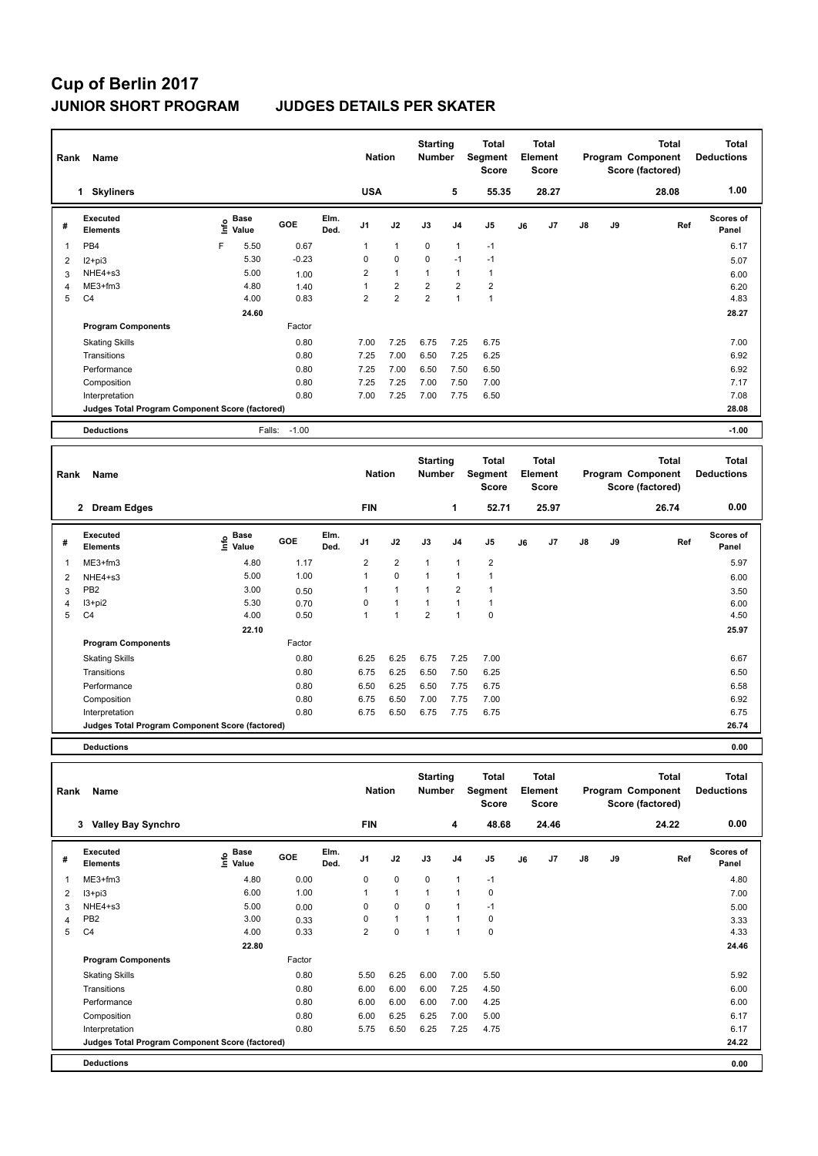## **Cup of Berlin 2017 JUNIOR SHORT PROGRAM JUDGES DETAILS PER SKATER**

| Rank           | Name                                            |      |                      |         |              | <b>Nation</b>  |                | <b>Starting</b><br><b>Number</b> |                | <b>Total</b><br>Segment<br><b>Score</b> | <b>Total</b><br>Element<br><b>Score</b> |       |               |    | <b>Total</b><br>Program Component<br>Score (factored) | <b>Total</b><br><b>Deductions</b> |
|----------------|-------------------------------------------------|------|----------------------|---------|--------------|----------------|----------------|----------------------------------|----------------|-----------------------------------------|-----------------------------------------|-------|---------------|----|-------------------------------------------------------|-----------------------------------|
|                | <b>Skyliners</b><br>1                           |      |                      |         |              | <b>USA</b>     |                |                                  | 5              | 55.35                                   |                                         | 28.27 |               |    | 28.08                                                 | 1.00                              |
| #              | Executed<br><b>Elements</b>                     | ١nf٥ | <b>Base</b><br>Value | GOE     | Elm.<br>Ded. | J <sub>1</sub> | J2             | J3                               | J <sub>4</sub> | J <sub>5</sub>                          | J6                                      | J7    | $\mathsf{J}8$ | J9 | Ref                                                   | <b>Scores of</b><br>Panel         |
| $\overline{1}$ | PB4                                             | F    | 5.50                 | 0.67    |              | 1              | $\overline{1}$ | $\mathbf 0$                      | $\overline{1}$ | $-1$                                    |                                         |       |               |    |                                                       | 6.17                              |
| $\overline{2}$ | $12 + pi3$                                      |      | 5.30                 | $-0.23$ |              | 0              | $\mathbf 0$    | $\mathbf 0$                      | $-1$           | $-1$                                    |                                         |       |               |    |                                                       | 5.07                              |
| 3              | NHE4+s3                                         |      | 5.00                 | 1.00    |              | $\overline{2}$ | $\mathbf{1}$   | $\overline{1}$                   | $\overline{1}$ | $\mathbf{1}$                            |                                         |       |               |    |                                                       | 6.00                              |
| 4              | $ME3+fm3$                                       |      | 4.80                 | 1.40    |              | 1              | $\overline{2}$ | $\overline{2}$                   | $\overline{2}$ | $\overline{2}$                          |                                         |       |               |    |                                                       | 6.20                              |
| 5              | C <sub>4</sub>                                  |      | 4.00                 | 0.83    |              | $\overline{2}$ | $\overline{2}$ | $\overline{2}$                   | $\overline{1}$ | $\overline{1}$                          |                                         |       |               |    |                                                       | 4.83                              |
|                |                                                 |      | 24.60                |         |              |                |                |                                  |                |                                         |                                         |       |               |    |                                                       | 28.27                             |
|                | <b>Program Components</b>                       |      |                      | Factor  |              |                |                |                                  |                |                                         |                                         |       |               |    |                                                       |                                   |
|                | <b>Skating Skills</b>                           |      |                      | 0.80    |              | 7.00           | 7.25           | 6.75                             | 7.25           | 6.75                                    |                                         |       |               |    |                                                       | 7.00                              |
|                | Transitions                                     |      |                      | 0.80    |              | 7.25           | 7.00           | 6.50                             | 7.25           | 6.25                                    |                                         |       |               |    |                                                       | 6.92                              |
|                | Performance                                     |      |                      | 0.80    |              | 7.25           | 7.00           | 6.50                             | 7.50           | 6.50                                    |                                         |       |               |    |                                                       | 6.92                              |
|                | Composition                                     |      |                      | 0.80    |              | 7.25           | 7.25           | 7.00                             | 7.50           | 7.00                                    |                                         |       |               |    |                                                       | 7.17                              |
|                | Interpretation                                  |      |                      | 0.80    |              | 7.00           | 7.25           | 7.00                             | 7.75           | 6.50                                    |                                         |       |               |    |                                                       | 7.08                              |
|                | Judges Total Program Component Score (factored) |      |                      |         |              |                |                |                                  |                |                                         |                                         |       |               |    |                                                       | 28.08                             |
|                | <b>Deductions</b>                               |      | Falls:               | $-1.00$ |              |                |                |                                  |                |                                         |                                         |       |               |    |                                                       | $-1.00$                           |

| Rank | Name                                            |                                       |            |              | <b>Nation</b>  |                | <b>Starting</b><br><b>Number</b> |                | <b>Total</b><br>Segment<br>Score | <b>Total</b><br>Element<br><b>Score</b> |                |               |    | <b>Total</b><br>Program Component<br>Score (factored) | <b>Total</b><br><b>Deductions</b> |
|------|-------------------------------------------------|---------------------------------------|------------|--------------|----------------|----------------|----------------------------------|----------------|----------------------------------|-----------------------------------------|----------------|---------------|----|-------------------------------------------------------|-----------------------------------|
|      | $\mathbf{2}$<br><b>Dream Edges</b>              |                                       |            |              | <b>FIN</b>     |                |                                  | 1              | 52.71                            |                                         | 25.97          |               |    | 26.74                                                 | 0.00                              |
| #    | Executed<br><b>Elements</b>                     | <b>Base</b><br>$\sum_{i=1}^{6}$ Value | <b>GOE</b> | Elm.<br>Ded. | J <sub>1</sub> | J2             | J3                               | J <sub>4</sub> | J <sub>5</sub>                   | J6                                      | J <sub>7</sub> | $\mathsf{J}8$ | J9 | Ref                                                   | <b>Scores of</b><br>Panel         |
| 1    | $ME3+fm3$                                       | 4.80                                  | 1.17       |              | $\overline{2}$ | 2              | $\overline{1}$                   | $\overline{1}$ | $\overline{2}$                   |                                         |                |               |    |                                                       | 5.97                              |
| 2    | NHE4+s3                                         | 5.00                                  | 1.00       |              | 1              | $\mathbf 0$    | 1                                | -1             |                                  |                                         |                |               |    |                                                       | 6.00                              |
| 3    | PB <sub>2</sub>                                 | 3.00                                  | 0.50       |              |                | $\overline{1}$ | -1                               | $\overline{2}$ |                                  |                                         |                |               |    |                                                       | 3.50                              |
| 4    | I3+pi2                                          | 5.30                                  | 0.70       |              | 0              | $\overline{1}$ | $\overline{ }$                   | $\overline{1}$ |                                  |                                         |                |               |    |                                                       | 6.00                              |
| 5    | C <sub>4</sub>                                  | 4.00                                  | 0.50       |              | 1              | $\overline{1}$ | $\overline{2}$                   | $\overline{1}$ | $\mathbf 0$                      |                                         |                |               |    |                                                       | 4.50                              |
|      |                                                 | 22.10                                 |            |              |                |                |                                  |                |                                  |                                         |                |               |    |                                                       | 25.97                             |
|      | <b>Program Components</b>                       |                                       | Factor     |              |                |                |                                  |                |                                  |                                         |                |               |    |                                                       |                                   |
|      | <b>Skating Skills</b>                           |                                       | 0.80       |              | 6.25           | 6.25           | 6.75                             | 7.25           | 7.00                             |                                         |                |               |    |                                                       | 6.67                              |
|      | Transitions                                     |                                       | 0.80       |              | 6.75           | 6.25           | 6.50                             | 7.50           | 6.25                             |                                         |                |               |    |                                                       | 6.50                              |
|      | Performance                                     |                                       | 0.80       |              | 6.50           | 6.25           | 6.50                             | 7.75           | 6.75                             |                                         |                |               |    |                                                       | 6.58                              |
|      | Composition                                     |                                       | 0.80       |              | 6.75           | 6.50           | 7.00                             | 7.75           | 7.00                             |                                         |                |               |    |                                                       | 6.92                              |
|      | Interpretation                                  |                                       | 0.80       |              | 6.75           | 6.50           | 6.75                             | 7.75           | 6.75                             |                                         |                |               |    |                                                       | 6.75                              |
|      | Judges Total Program Component Score (factored) |                                       |            |              |                |                |                                  |                |                                  |                                         |                |               |    |                                                       | 26.74                             |
|      |                                                 |                                       |            |              |                |                |                                  |                |                                  |                                         |                |               |    |                                                       |                                   |

**Deductions 0.00**

| Rank | Name                                            |                             |        |              | <b>Nation</b>  |              | <b>Starting</b><br><b>Number</b> |                | Total<br>Segment<br><b>Score</b> | Total<br>Element<br><b>Score</b> |       |               |    | Total<br>Program Component<br>Score (factored) | <b>Total</b><br><b>Deductions</b> |
|------|-------------------------------------------------|-----------------------------|--------|--------------|----------------|--------------|----------------------------------|----------------|----------------------------------|----------------------------------|-------|---------------|----|------------------------------------------------|-----------------------------------|
|      | 3 Valley Bay Synchro                            |                             |        |              | <b>FIN</b>     |              |                                  | 4              | 48.68                            |                                  | 24.46 |               |    | 24.22                                          | 0.00                              |
| #    | <b>Executed</b><br><b>Elements</b>              | Base<br>$\frac{6}{5}$ Value | GOE    | Elm.<br>Ded. | J <sub>1</sub> | J2           | J3                               | J <sub>4</sub> | J <sub>5</sub>                   | J6                               | J7    | $\mathsf{J}8$ | J9 | Ref                                            | <b>Scores of</b><br>Panel         |
|      | $ME3+fm3$                                       | 4.80                        | 0.00   |              | 0              | $\mathbf 0$  | $\mathbf 0$                      | $\overline{1}$ | $-1$                             |                                  |       |               |    |                                                | 4.80                              |
| 2    | $13 + pi3$                                      | 6.00                        | 1.00   |              | 1              | $\mathbf{1}$ | $\overline{1}$                   | $\overline{1}$ | 0                                |                                  |       |               |    |                                                | 7.00                              |
| 3    | NHE4+s3                                         | 5.00                        | 0.00   |              | 0              | $\mathbf 0$  | $\mathbf 0$                      | 1              | $-1$                             |                                  |       |               |    |                                                | 5.00                              |
| 4    | PB <sub>2</sub>                                 | 3.00                        | 0.33   |              | 0              | $\mathbf{1}$ | $\overline{1}$                   | 1              | 0                                |                                  |       |               |    |                                                | 3.33                              |
| 5    | C <sub>4</sub>                                  | 4.00                        | 0.33   |              | 2              | $\mathbf 0$  | 1                                | $\overline{ }$ | 0                                |                                  |       |               |    |                                                | 4.33                              |
|      |                                                 | 22.80                       |        |              |                |              |                                  |                |                                  |                                  |       |               |    |                                                | 24.46                             |
|      | <b>Program Components</b>                       |                             | Factor |              |                |              |                                  |                |                                  |                                  |       |               |    |                                                |                                   |
|      | <b>Skating Skills</b>                           |                             | 0.80   |              | 5.50           | 6.25         | 6.00                             | 7.00           | 5.50                             |                                  |       |               |    |                                                | 5.92                              |
|      | Transitions                                     |                             | 0.80   |              | 6.00           | 6.00         | 6.00                             | 7.25           | 4.50                             |                                  |       |               |    |                                                | 6.00                              |
|      | Performance                                     |                             | 0.80   |              | 6.00           | 6.00         | 6.00                             | 7.00           | 4.25                             |                                  |       |               |    |                                                | 6.00                              |
|      | Composition                                     |                             | 0.80   |              | 6.00           | 6.25         | 6.25                             | 7.00           | 5.00                             |                                  |       |               |    |                                                | 6.17                              |
|      | Interpretation                                  |                             | 0.80   |              | 5.75           | 6.50         | 6.25                             | 7.25           | 4.75                             |                                  |       |               |    |                                                | 6.17                              |
|      | Judges Total Program Component Score (factored) |                             |        |              |                |              |                                  |                |                                  |                                  |       |               |    |                                                | 24.22                             |
|      | <b>Deductions</b>                               |                             |        |              |                |              |                                  |                |                                  |                                  |       |               |    |                                                | 0.00                              |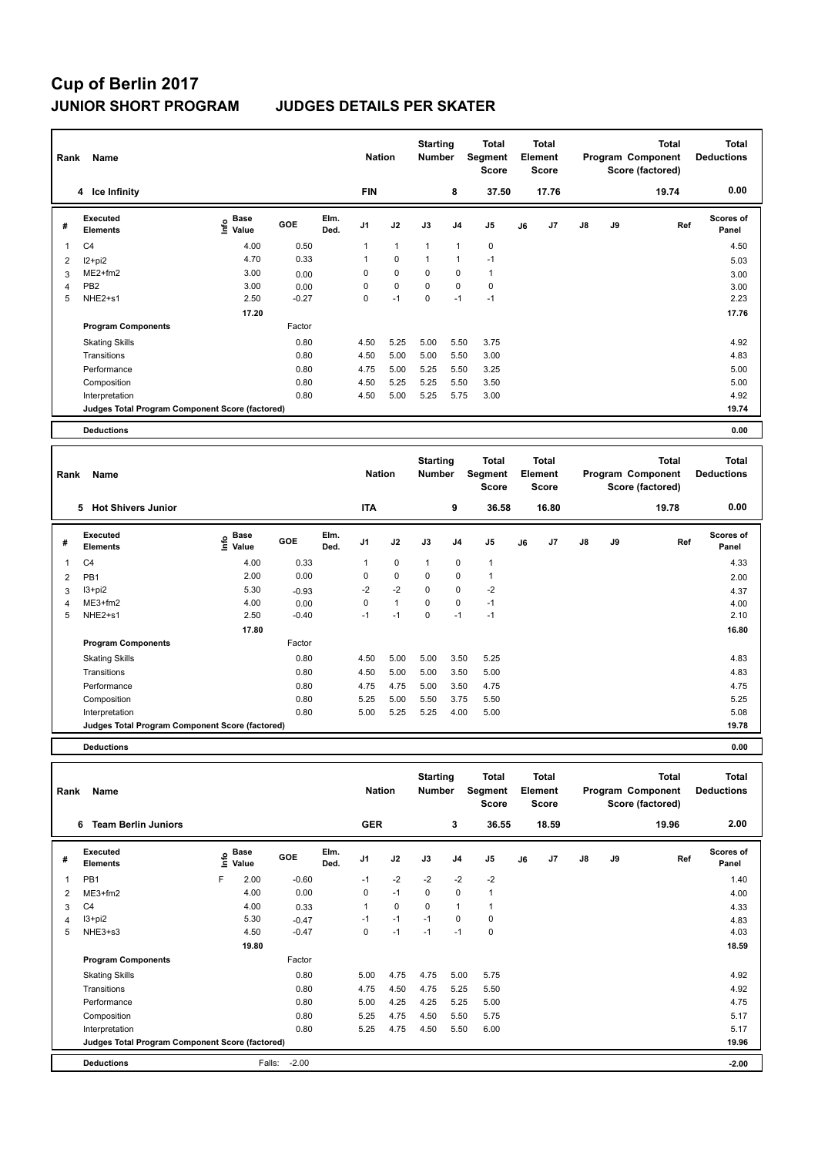## **Cup of Berlin 2017 JUNIOR SHORT PROGRAM JUDGES DETAILS PER SKATER**

| Rank           | Name                                            |                           |            |              | <b>Nation</b>  |              | <b>Starting</b><br><b>Number</b> |                | <b>Total</b><br>Segment<br>Score | <b>Total</b><br>Element<br><b>Score</b> |       |               |    | <b>Total</b><br>Program Component<br>Score (factored) | <b>Total</b><br><b>Deductions</b> |
|----------------|-------------------------------------------------|---------------------------|------------|--------------|----------------|--------------|----------------------------------|----------------|----------------------------------|-----------------------------------------|-------|---------------|----|-------------------------------------------------------|-----------------------------------|
|                | 4 Ice Infinity                                  |                           |            |              | <b>FIN</b>     |              |                                  | 8              | 37.50                            |                                         | 17.76 |               |    | 19.74                                                 | 0.00                              |
| #              | Executed<br><b>Elements</b>                     | Base<br>e Base<br>⊆ Value | <b>GOE</b> | Elm.<br>Ded. | J <sub>1</sub> | J2           | J3                               | J <sub>4</sub> | J <sub>5</sub>                   | J6                                      | J7    | $\mathsf{J}8$ | J9 | Ref                                                   | <b>Scores of</b><br>Panel         |
| 1              | C <sub>4</sub>                                  | 4.00                      | 0.50       |              | 1              | $\mathbf{1}$ | 1                                | $\mathbf{1}$   | 0                                |                                         |       |               |    |                                                       | 4.50                              |
| $\overline{2}$ | $12+pi2$                                        | 4.70                      | 0.33       |              | $\mathbf{1}$   | $\mathbf 0$  | 1                                | 1              | $-1$                             |                                         |       |               |    |                                                       | 5.03                              |
| 3              | ME2+fm2                                         | 3.00                      | 0.00       |              | 0              | $\mathbf 0$  | $\mathbf 0$                      | $\mathbf 0$    | $\mathbf{1}$                     |                                         |       |               |    |                                                       | 3.00                              |
| $\overline{4}$ | PB <sub>2</sub>                                 | 3.00                      | 0.00       |              | 0              | $\mathbf 0$  | $\Omega$                         | 0              | $\mathbf 0$                      |                                         |       |               |    |                                                       | 3.00                              |
| 5              | NHE2+s1                                         | 2.50                      | $-0.27$    |              | 0              | $-1$         | 0                                | $-1$           | $-1$                             |                                         |       |               |    |                                                       | 2.23                              |
|                |                                                 | 17.20                     |            |              |                |              |                                  |                |                                  |                                         |       |               |    |                                                       | 17.76                             |
|                | <b>Program Components</b>                       |                           | Factor     |              |                |              |                                  |                |                                  |                                         |       |               |    |                                                       |                                   |
|                | <b>Skating Skills</b>                           |                           | 0.80       |              | 4.50           | 5.25         | 5.00                             | 5.50           | 3.75                             |                                         |       |               |    |                                                       | 4.92                              |
|                | Transitions                                     |                           | 0.80       |              | 4.50           | 5.00         | 5.00                             | 5.50           | 3.00                             |                                         |       |               |    |                                                       | 4.83                              |
|                | Performance                                     |                           | 0.80       |              | 4.75           | 5.00         | 5.25                             | 5.50           | 3.25                             |                                         |       |               |    |                                                       | 5.00                              |
|                | Composition                                     |                           | 0.80       |              | 4.50           | 5.25         | 5.25                             | 5.50           | 3.50                             |                                         |       |               |    |                                                       | 5.00                              |
|                | Interpretation                                  |                           | 0.80       |              | 4.50           | 5.00         | 5.25                             | 5.75           | 3.00                             |                                         |       |               |    |                                                       | 4.92                              |
|                | Judges Total Program Component Score (factored) |                           |            |              |                |              |                                  |                |                                  |                                         |       |               |    |                                                       | 19.74                             |
|                | <b>Deductions</b>                               |                           |            |              |                |              |                                  |                |                                  |                                         |       |               |    |                                                       | 0.00                              |

| Rank           | Name                                            |                     |            |              | <b>Nation</b>  |              | <b>Starting</b><br><b>Number</b> |                | Total<br>Segment<br><b>Score</b> | Total<br>Element<br><b>Score</b> |       |               |    | <b>Total</b><br>Program Component<br>Score (factored) | <b>Total</b><br><b>Deductions</b> |
|----------------|-------------------------------------------------|---------------------|------------|--------------|----------------|--------------|----------------------------------|----------------|----------------------------------|----------------------------------|-------|---------------|----|-------------------------------------------------------|-----------------------------------|
|                | <b>Hot Shivers Junior</b><br>5                  |                     |            |              | <b>ITA</b>     |              |                                  | 9              | 36.58                            |                                  | 16.80 |               |    | 19.78                                                 | 0.00                              |
| #              | Executed<br><b>Elements</b>                     | Base<br>١m<br>Value | <b>GOE</b> | Elm.<br>Ded. | J <sub>1</sub> | J2           | J3                               | J <sub>4</sub> | J5                               | J6                               | J7    | $\mathsf{J}8$ | J9 | Ref                                                   | <b>Scores of</b><br>Panel         |
| 1              | C <sub>4</sub>                                  | 4.00                | 0.33       |              | 1              | $\mathbf 0$  | $\mathbf{1}$                     | $\mathbf 0$    | $\mathbf{1}$                     |                                  |       |               |    |                                                       | 4.33                              |
| $\overline{2}$ | PB <sub>1</sub>                                 | 2.00                | 0.00       |              | 0              | $\mathbf 0$  | 0                                | 0              | 1                                |                                  |       |               |    |                                                       | 2.00                              |
| 3              | I3+pi2                                          | 5.30                | $-0.93$    |              | $-2$           | $-2$         | 0                                | 0              | $-2$                             |                                  |       |               |    |                                                       | 4.37                              |
| 4              | $ME3+fm2$                                       | 4.00                | 0.00       |              | 0              | $\mathbf{1}$ | 0                                | 0              | $-1$                             |                                  |       |               |    |                                                       | 4.00                              |
| 5              | NHE2+s1                                         | 2.50                | $-0.40$    |              | $-1$           | $-1$         | 0                                | $-1$           | $-1$                             |                                  |       |               |    |                                                       | 2.10                              |
|                |                                                 | 17.80               |            |              |                |              |                                  |                |                                  |                                  |       |               |    |                                                       | 16.80                             |
|                | <b>Program Components</b>                       |                     | Factor     |              |                |              |                                  |                |                                  |                                  |       |               |    |                                                       |                                   |
|                | <b>Skating Skills</b>                           |                     | 0.80       |              | 4.50           | 5.00         | 5.00                             | 3.50           | 5.25                             |                                  |       |               |    |                                                       | 4.83                              |
|                | Transitions                                     |                     | 0.80       |              | 4.50           | 5.00         | 5.00                             | 3.50           | 5.00                             |                                  |       |               |    |                                                       | 4.83                              |
|                | Performance                                     |                     | 0.80       |              | 4.75           | 4.75         | 5.00                             | 3.50           | 4.75                             |                                  |       |               |    |                                                       | 4.75                              |
|                | Composition                                     |                     | 0.80       |              | 5.25           | 5.00         | 5.50                             | 3.75           | 5.50                             |                                  |       |               |    |                                                       | 5.25                              |
|                | Interpretation                                  |                     | 0.80       |              | 5.00           | 5.25         | 5.25                             | 4.00           | 5.00                             |                                  |       |               |    |                                                       | 5.08                              |
|                | Judges Total Program Component Score (factored) |                     |            |              |                |              |                                  |                |                                  |                                  |       |               |    |                                                       | 19.78                             |
|                |                                                 |                     |            |              |                |              |                                  |                |                                  |                                  |       |               |    |                                                       |                                   |

**Deductions 0.00**

| Rank | Name                                            |      |                      |         |              | <b>Nation</b>  |      | <b>Starting</b><br><b>Number</b> |                | <b>Total</b><br>Segment<br><b>Score</b> | Total<br>Element<br>Score |       |               |    | <b>Total</b><br>Program Component<br>Score (factored) | <b>Total</b><br><b>Deductions</b> |
|------|-------------------------------------------------|------|----------------------|---------|--------------|----------------|------|----------------------------------|----------------|-----------------------------------------|---------------------------|-------|---------------|----|-------------------------------------------------------|-----------------------------------|
|      | <b>Team Berlin Juniors</b><br>6                 |      |                      |         |              | <b>GER</b>     |      |                                  | 3              | 36.55                                   |                           | 18.59 |               |    | 19.96                                                 | 2.00                              |
| #    | <b>Executed</b><br><b>Elements</b>              | ١nf٥ | <b>Base</b><br>Value | GOE     | Elm.<br>Ded. | J <sub>1</sub> | J2   | J3                               | J <sub>4</sub> | J5                                      | J6                        | J7    | $\mathsf{J}8$ | J9 | Ref                                                   | <b>Scores of</b><br>Panel         |
| 1    | PB <sub>1</sub>                                 | F    | 2.00                 | $-0.60$ |              | $-1$           | $-2$ | $-2$                             | $-2$           | $-2$                                    |                           |       |               |    |                                                       | 1.40                              |
| 2    | $ME3+fm2$                                       |      | 4.00                 | 0.00    |              | 0              | $-1$ | $\mathbf 0$                      | 0              | $\mathbf 1$                             |                           |       |               |    |                                                       | 4.00                              |
| 3    | C <sub>4</sub>                                  |      | 4.00                 | 0.33    |              |                | 0    | $\mathbf 0$                      | $\overline{1}$ |                                         |                           |       |               |    |                                                       | 4.33                              |
| 4    | $13 + pi2$                                      |      | 5.30                 | $-0.47$ |              | $-1$           | $-1$ | $-1$                             | 0              | 0                                       |                           |       |               |    |                                                       | 4.83                              |
| 5    | NHE3+s3                                         |      | 4.50                 | $-0.47$ |              | 0              | $-1$ | $-1$                             | $-1$           | $\mathbf 0$                             |                           |       |               |    |                                                       | 4.03                              |
|      |                                                 |      | 19.80                |         |              |                |      |                                  |                |                                         |                           |       |               |    |                                                       | 18.59                             |
|      | <b>Program Components</b>                       |      |                      | Factor  |              |                |      |                                  |                |                                         |                           |       |               |    |                                                       |                                   |
|      | <b>Skating Skills</b>                           |      |                      | 0.80    |              | 5.00           | 4.75 | 4.75                             | 5.00           | 5.75                                    |                           |       |               |    |                                                       | 4.92                              |
|      | Transitions                                     |      |                      | 0.80    |              | 4.75           | 4.50 | 4.75                             | 5.25           | 5.50                                    |                           |       |               |    |                                                       | 4.92                              |
|      | Performance                                     |      |                      | 0.80    |              | 5.00           | 4.25 | 4.25                             | 5.25           | 5.00                                    |                           |       |               |    |                                                       | 4.75                              |
|      | Composition                                     |      |                      | 0.80    |              | 5.25           | 4.75 | 4.50                             | 5.50           | 5.75                                    |                           |       |               |    |                                                       | 5.17                              |
|      | Interpretation                                  |      |                      | 0.80    |              | 5.25           | 4.75 | 4.50                             | 5.50           | 6.00                                    |                           |       |               |    |                                                       | 5.17                              |
|      | Judges Total Program Component Score (factored) |      |                      |         |              |                |      |                                  |                |                                         |                           |       |               |    |                                                       | 19.96                             |
|      | <b>Deductions</b>                               |      | Falls:               | $-2.00$ |              |                |      |                                  |                |                                         |                           |       |               |    |                                                       | $-2.00$                           |